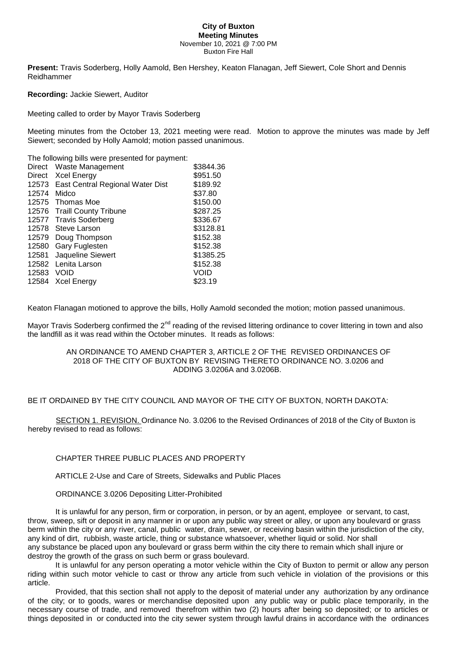#### **City of Buxton Meeting Minutes** November 10, 2021 @ 7:00 PM Buxton Fire Hall

**Present:** Travis Soderberg, Holly Aamold, Ben Hershey, Keaton Flanagan, Jeff Siewert, Cole Short and Dennis Reidhammer

**Recording:** Jackie Siewert, Auditor

Meeting called to order by Mayor Travis Soderberg

Meeting minutes from the October 13, 2021 meeting were read. Motion to approve the minutes was made by Jeff Siewert; seconded by Holly Aamold; motion passed unanimous.

The following bills were presented for payment:

| Direct | Waste Management                 | \$3844.36 |
|--------|----------------------------------|-----------|
| Direct | <b>Xcel Energy</b>               | \$951.50  |
| 12573  | East Central Regional Water Dist | \$189.92  |
| 12574  | Midco                            | \$37.80   |
| 12575  | Thomas Moe                       | \$150.00  |
| 12576  | <b>Traill County Tribune</b>     | \$287.25  |
| 12577  | <b>Travis Soderberg</b>          | \$336.67  |
| 12578  | Steve Larson                     | \$3128.81 |
| 12579  | Doug Thompson                    | \$152.38  |
| 12580  | Gary Fuglesten                   | \$152.38  |
| 12581  | Jaqueline Siewert                | \$1385.25 |
| 12582  | Lenita Larson                    | \$152.38  |
| 12583  | Void                             | Void      |
| 12584  | Xcel Energy                      | \$23.19   |

Keaton Flanagan motioned to approve the bills, Holly Aamold seconded the motion; motion passed unanimous.

Mayor Travis Soderberg confirmed the  $2^{nd}$  reading of the revised littering ordinance to cover littering in town and also the landfill as it was read within the October minutes. It reads as follows:

## AN ORDINANCE TO AMEND CHAPTER 3, ARTICLE 2 OF THE REVISED ORDINANCES OF 2018 OF THE CITY OF BUXTON BY REVISING THERETO ORDINANCE NO. 3.0206 and ADDING 3.0206A and 3.0206B.

## BE IT ORDAINED BY THE CITY COUNCIL AND MAYOR OF THE CITY OF BUXTON, NORTH DAKOTA:

SECTION 1. REVISION. Ordinance No. 3.0206 to the Revised Ordinances of 2018 of the City of Buxton is hereby revised to read as follows:

# CHAPTER THREE PUBLIC PLACES AND PROPERTY

ARTICLE 2-Use and Care of Streets, Sidewalks and Public Places

## ORDINANCE 3.0206 Depositing Litter-Prohibited

It is unlawful for any person, firm or corporation, in person, or by an agent, employee or servant, to cast, throw, sweep, sift or deposit in any manner in or upon any public way street or alley, or upon any boulevard or grass berm within the city or any river, canal, public water, drain, sewer, or receiving basin within the jurisdiction of the city, any kind of dirt, rubbish, waste article, thing or substance whatsoever, whether liquid or solid. Nor shall any substance be placed upon any boulevard or grass berm within the city there to remain which shall injure or destroy the growth of the grass on such berm or grass boulevard.

It is unlawful for any person operating a motor vehicle within the City of Buxton to permit or allow any person riding within such motor vehicle to cast or throw any article from such vehicle in violation of the provisions or this article.

Provided, that this section shall not apply to the deposit of material under any authorization by any ordinance of the city; or to goods, wares or merchandise deposited upon any public way or public place temporarily, in the necessary course of trade, and removed therefrom within two (2) hours after being so deposited; or to articles or things deposited in or conducted into the city sewer system through lawful drains in accordance with the ordinances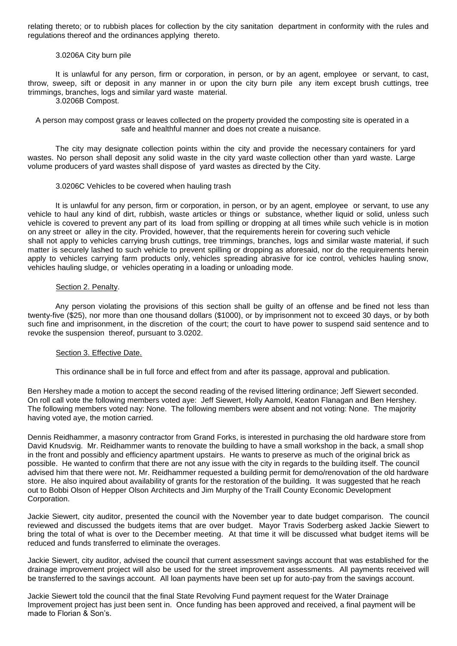relating thereto; or to rubbish places for collection by the city sanitation department in conformity with the rules and regulations thereof and the ordinances applying thereto.

## 3.0206A City burn pile

It is unlawful for any person, firm or corporation, in person, or by an agent, employee or servant, to cast, throw, sweep, sift or deposit in any manner in or upon the city burn pile any item except brush cuttings, tree trimmings, branches, logs and similar yard waste material.

3.0206B Compost.

A person may compost grass or leaves collected on the property provided the composting site is operated in a safe and healthful manner and does not create a nuisance.

The city may designate collection points within the city and provide the necessary containers for yard wastes. No person shall deposit any solid waste in the city yard waste collection other than yard waste. Large volume producers of yard wastes shall dispose of yard wastes as directed by the City.

### 3.0206C Vehicles to be covered when hauling trash

It is unlawful for any person, firm or corporation, in person, or by an agent, employee or servant, to use any vehicle to haul any kind of dirt, rubbish, waste articles or things or substance, whether liquid or solid, unless such vehicle is covered to prevent any part of its load from spilling or dropping at all times while such vehicle is in motion on any street or alley in the city. Provided, however, that the requirements herein for covering such vehicle shall not apply to vehicles carrying brush cuttings, tree trimmings, branches, logs and similar waste material, if such matter is securely lashed to such vehicle to prevent spilling or dropping as aforesaid, nor do the requirements herein apply to vehicles carrying farm products only, vehicles spreading abrasive for ice control, vehicles hauling snow, vehicles hauling sludge, or vehicles operating in a loading or unloading mode.

### Section 2. Penalty.

Any person violating the provisions of this section shall be guilty of an offense and be fined not less than twenty-five (\$25), nor more than one thousand dollars (\$1000), or by imprisonment not to exceed 30 days, or by both such fine and imprisonment, in the discretion of the court; the court to have power to suspend said sentence and to revoke the suspension thereof, pursuant to 3.0202.

### Section 3. Effective Date.

This ordinance shall be in full force and effect from and after its passage, approval and publication.

Ben Hershey made a motion to accept the second reading of the revised littering ordinance; Jeff Siewert seconded. On roll call vote the following members voted aye: Jeff Siewert, Holly Aamold, Keaton Flanagan and Ben Hershey. The following members voted nay: None. The following members were absent and not voting: None. The majority having voted aye, the motion carried.

Dennis Reidhammer, a masonry contractor from Grand Forks, is interested in purchasing the old hardware store from David Knudsvig. Mr. Reidhammer wants to renovate the building to have a small workshop in the back, a small shop in the front and possibly and efficiency apartment upstairs. He wants to preserve as much of the original brick as possible. He wanted to confirm that there are not any issue with the city in regards to the building itself. The council advised him that there were not. Mr. Reidhammer requested a building permit for demo/renovation of the old hardware store. He also inquired about availability of grants for the restoration of the building. It was suggested that he reach out to Bobbi Olson of Hepper Olson Architects and Jim Murphy of the Traill County Economic Development Corporation.

Jackie Siewert, city auditor, presented the council with the November year to date budget comparison. The council reviewed and discussed the budgets items that are over budget. Mayor Travis Soderberg asked Jackie Siewert to bring the total of what is over to the December meeting. At that time it will be discussed what budget items will be reduced and funds transferred to eliminate the overages.

Jackie Siewert, city auditor, advised the council that current assessment savings account that was established for the drainage improvement project will also be used for the street improvement assessments. All payments received will be transferred to the savings account. All loan payments have been set up for auto-pay from the savings account.

Jackie Siewert told the council that the final State Revolving Fund payment request for the Water Drainage Improvement project has just been sent in. Once funding has been approved and received, a final payment will be made to Florian & Son's.